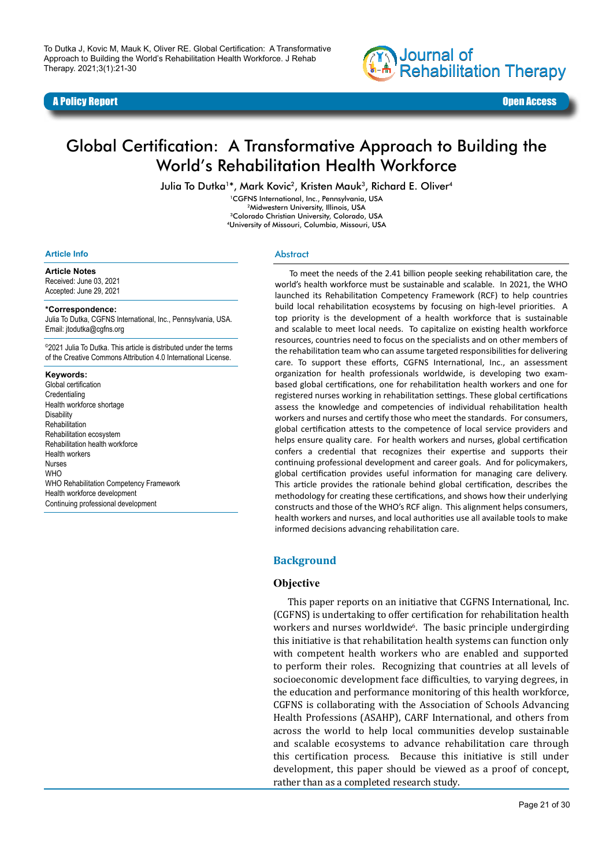#### A Policy Report Open Access



# Global Certification: A Transformative Approach to Building the World's Rehabilitation Health Workforce

Julia To Dutka<sup>1\*</sup>, Mark Kovic<sup>2</sup>, Kristen Mauk<sup>3</sup>, Richard E. Oliver<sup>4</sup>

1CGFNS International, Inc., Pennsylvania, USA 2Midwestern University, Illinois, USA 3Colorado Christian University, Colorado, USA 4University of Missouri, Columbia, Missouri, USA

#### **Article Info**

**Article Notes** Received: June 03, 2021 Accepted: June 29, 2021

#### **\*Correspondence:**

Julia To Dutka, CGFNS International, Inc., Pennsylvania, USA. Email: jtodutka@cgfns.org

©2021 Julia To Dutka. This article is distributed under the terms of the Creative Commons Attribution 4.0 International License.

#### **Keywords:**

Global certification **Credentialing** Health workforce shortage **Disability** Rehabilitation Rehabilitation ecosystem Rehabilitation health workforce Health workers Nurses **WHO** WHO Rehabilitation Competency Framework Health workforce development Continuing professional development

#### Abstract

To meet the needs of the 2.41 billion people seeking rehabilitation care, the world's health workforce must be sustainable and scalable. In 2021, the WHO launched its Rehabilitation Competency Framework (RCF) to help countries build local rehabilitation ecosystems by focusing on high-level priorities. A top priority is the development of a health workforce that is sustainable and scalable to meet local needs. To capitalize on existing health workforce resources, countries need to focus on the specialists and on other members of the rehabilitation team who can assume targeted responsibilities for delivering care. To support these efforts, CGFNS International, Inc., an assessment organization for health professionals worldwide, is developing two exambased global certifications, one for rehabilitation health workers and one for registered nurses working in rehabilitation settings. These global certifications assess the knowledge and competencies of individual rehabilitation health workers and nurses and certify those who meet the standards. For consumers, global certification attests to the competence of local service providers and helps ensure quality care. For health workers and nurses, global certification confers a credential that recognizes their expertise and supports their continuing professional development and career goals. And for policymakers, global certification provides useful information for managing care delivery. This article provides the rationale behind global certification, describes the methodology for creating these certifications, and shows how their underlying constructs and those of the WHO's RCF align. This alignment helps consumers, health workers and nurses, and local authorities use all available tools to make informed decisions advancing rehabilitation care.

#### **Background**

#### **Objective**

This paper reports on an initiative that CGFNS International, Inc. (CGFNS) is undertaking to offer certification for rehabilitation health workers and nurses worldwide<sup>6</sup>. The basic principle undergirding this initiative is that rehabilitation health systems can function only with competent health workers who are enabled and supported to perform their roles. Recognizing that countries at all levels of socioeconomic development face difficulties, to varying degrees, in the education and performance monitoring of this health workforce, CGFNS is collaborating with the Association of Schools Advancing Health Professions (ASAHP), CARF International, and others from across the world to help local communities develop sustainable and scalable ecosystems to advance rehabilitation care through this certification process. Because this initiative is still under development, this paper should be viewed as a proof of concept, rather than as a completed research study.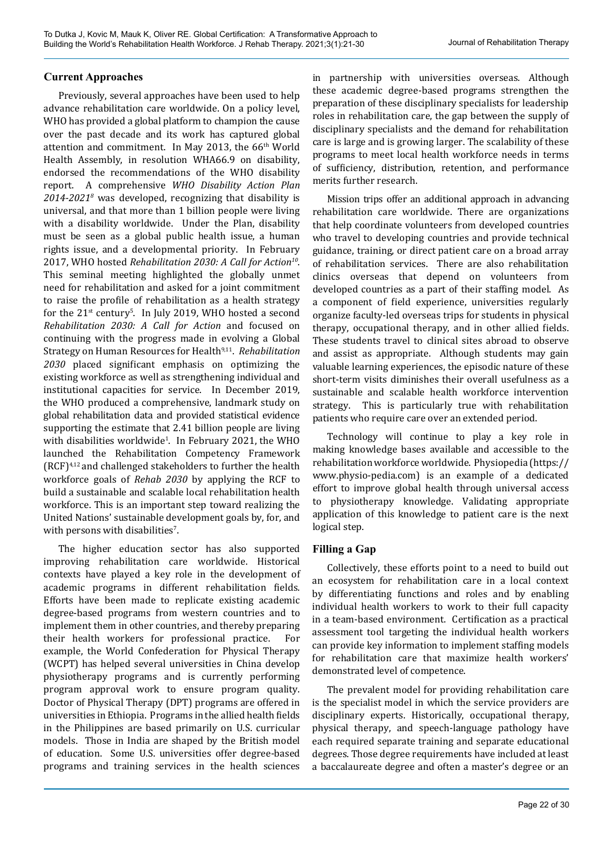# **Current Approaches**

Previously, several approaches have been used to help advance rehabilitation care worldwide. On a policy level, WHO has provided a global platform to champion the cause over the past decade and its work has captured global attention and commitment. In May 2013, the 66<sup>th</sup> World Health Assembly, in resolution WHA66.9 on disability, endorsed the recommendations of the WHO disability report. A comprehensive *WHO Disability Action Plan 2014-20218* was developed, recognizing that disability is universal, and that more than 1 billion people were living with a disability worldwide. Under the Plan, disability must be seen as a global public health issue, a human rights issue, and a developmental priority. In February 2017, WHO hosted *Rehabilitation 2030: A Call for Action10*. This seminal meeting highlighted the globally unmet need for rehabilitation and asked for a joint commitment to raise the profile of rehabilitation as a health strategy for the 21<sup>st</sup> century<sup>5</sup>. In July 2019, WHO hosted a second *Rehabilitation 2030: A Call for Action* and focused on continuing with the progress made in evolving a Global Strategy on Human Resources for Health<sup>9,11</sup>. *Rehabilitation 2030* placed significant emphasis on optimizing the existing workforce as well as strengthening individual and institutional capacities for service. In December 2019, the WHO produced a comprehensive, landmark study on global rehabilitation data and provided statistical evidence supporting the estimate that 2.41 billion people are living with disabilities worldwide<sup>1</sup>. In February 2021, the WHO launched the Rehabilitation Competency Framework (RCF)4,12 and challenged stakeholders to further the health workforce goals of *Rehab 2030* by applying the RCF to build a sustainable and scalable local rehabilitation health workforce. This is an important step toward realizing the United Nations' sustainable development goals by, for, and with persons with disabilities $\degree$ .

The higher education sector has also supported improving rehabilitation care worldwide. Historical contexts have played a key role in the development of academic programs in different rehabilitation fields. Efforts have been made to replicate existing academic degree-based programs from western countries and to implement them in other countries, and thereby preparing their health workers for professional practice. For example, the World Confederation for Physical Therapy (WCPT) has helped several universities in China develop physiotherapy programs and is currently performing program approval work to ensure program quality. Doctor of Physical Therapy (DPT) programs are offered in universities in Ethiopia. Programs in the allied health fields in the Philippines are based primarily on U.S. curricular models. Those in India are shaped by the British model of education. Some U.S. universities offer degree-based programs and training services in the health sciences

in partnership with universities overseas. Although these academic degree-based programs strengthen the preparation of these disciplinary specialists for leadership roles in rehabilitation care, the gap between the supply of disciplinary specialists and the demand for rehabilitation care is large and is growing larger. The scalability of these programs to meet local health workforce needs in terms of sufficiency, distribution, retention, and performance merits further research.

Mission trips offer an additional approach in advancing rehabilitation care worldwide. There are organizations that help coordinate volunteers from developed countries who travel to developing countries and provide technical guidance, training, or direct patient care on a broad array of rehabilitation services. There are also rehabilitation clinics overseas that depend on volunteers from developed countries as a part of their staffing model. As a component of field experience, universities regularly organize faculty-led overseas trips for students in physical therapy, occupational therapy, and in other allied fields. These students travel to clinical sites abroad to observe and assist as appropriate. Although students may gain valuable learning experiences, the episodic nature of these short-term visits diminishes their overall usefulness as a sustainable and scalable health workforce intervention strategy. This is particularly true with rehabilitation patients who require care over an extended period.

Technology will continue to play a key role in making knowledge bases available and accessible to the rehabilitation workforce worldwide. Physiopedia ([https://](https://www.physio-pedia.com) [www.physio-pedia.com](https://www.physio-pedia.com)) is an example of a dedicated effort to improve global health through universal access to physiotherapy knowledge. Validating appropriate application of this knowledge to patient care is the next logical step.

# **Filling a Gap**

Collectively, these efforts point to a need to build out an ecosystem for rehabilitation care in a local context by differentiating functions and roles and by enabling individual health workers to work to their full capacity in a team-based environment. Certification as a practical assessment tool targeting the individual health workers can provide key information to implement staffing models for rehabilitation care that maximize health workers' demonstrated level of competence.

The prevalent model for providing rehabilitation care is the specialist model in which the service providers are disciplinary experts. Historically, occupational therapy, physical therapy, and speech-language pathology have each required separate training and separate educational degrees. Those degree requirements have included at least a baccalaureate degree and often a master's degree or an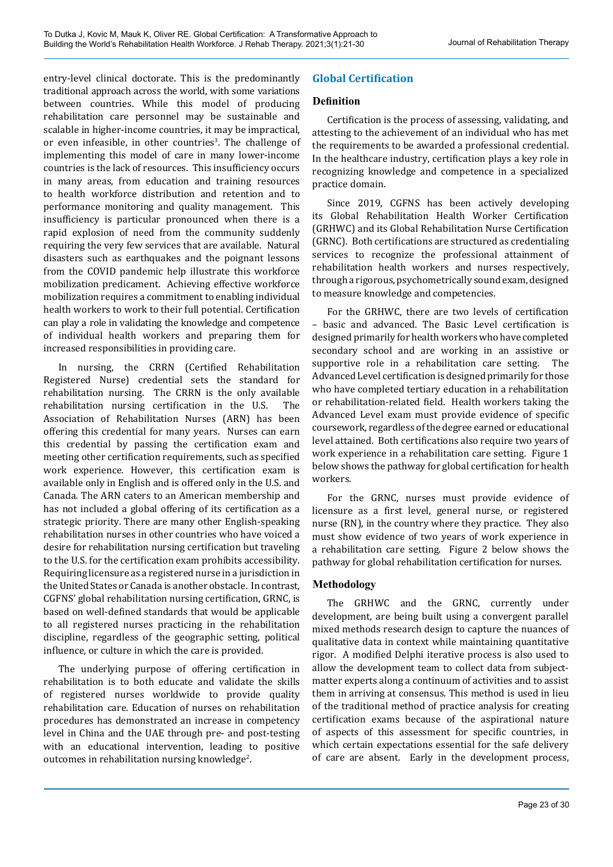entry-level clinical doctorate. This is the predominantly traditional approach across the world, with some variations between countries. While this model of producing rehabilitation care personnel may be sustainable and scalable in higher-income countries, it may be impractical, or even infeasible, in other countries<sup>3</sup>. The challenge of implementing this model of care in many lower-income countries is the lack of resources. This insufficiency occurs in many areas, from education and training resources to health workforce distribution and retention and to performance monitoring and quality management. This insufficiency is particular pronounced when there is a rapid explosion of need from the community suddenly requiring the very few services that are available. Natural disasters such as earthquakes and the poignant lessons from the COVID pandemic help illustrate this workforce mobilization predicament. Achieving effective workforce mobilization requires a commitment to enabling individual health workers to work to their full potential. Certification can play a role in validating the knowledge and competence of individual health workers and preparing them for increased responsibilities in providing care.

In nursing, the CRRN (Certified Rehabilitation Registered Nurse) credential sets the standard for rehabilitation nursing. The CRRN is the only available rehabilitation nursing certification in the U.S. The Association of Rehabilitation Nurses (ARN) has been offering this credential for many years. Nurses can earn this credential by passing the certification exam and meeting other certification requirements, such as specified work experience. However, this certification exam is available only in English and is offered only in the U.S. and Canada. The ARN caters to an American membership and has not included a global offering of its certification as a strategic priority. There are many other English-speaking rehabilitation nurses in other countries who have voiced a desire for rehabilitation nursing certification but traveling to the U.S. for the certification exam prohibits accessibility. Requiring licensure as a registered nurse in a jurisdiction in the United States or Canada is another obstacle. In contrast, CGFNS' global rehabilitation nursing certification, GRNC, is based on well-defined standards that would be applicable to all registered nurses practicing in the rehabilitation discipline, regardless of the geographic setting, political influence, or culture in which the care is provided.

The underlying purpose of offering certification in rehabilitation is to both educate and validate the skills of registered nurses worldwide to provide quality rehabilitation care. Education of nurses on rehabilitation procedures has demonstrated an increase in competency level in China and the UAE through pre- and post-testing with an educational intervention, leading to positive outcomes in rehabilitation nursing knowledge $^2$ .

# **Global Certification**

# **Definition**

Certification is the process of assessing, validating, and attesting to the achievement of an individual who has met the requirements to be awarded a professional credential. In the healthcare industry, certification plays a key role in recognizing knowledge and competence in a specialized practice domain.

Since 2019, CGFNS has been actively developing its Global Rehabilitation Health Worker Certification (GRHWC) and its Global Rehabilitation Nurse Certification (GRNC). Both certifications are structured as credentialing services to recognize the professional attainment of rehabilitation health workers and nurses respectively, through a rigorous, psychometrically sound exam, designed to measure knowledge and competencies.

For the GRHWC, there are two levels of certification – basic and advanced. The Basic Level certification is designed primarily for health workers who have completed secondary school and are working in an assistive or supportive role in a rehabilitation care setting. The Advanced Level certification is designed primarily for those who have completed tertiary education in a rehabilitation or rehabilitation-related field. Health workers taking the Advanced Level exam must provide evidence of specific coursework, regardless of the degree earned or educational level attained. Both certifications also require two years of work experience in a rehabilitation care setting. Figure 1 below shows the pathway for global certification for health workers.

For the GRNC, nurses must provide evidence of licensure as a first level, general nurse, or registered nurse (RN), in the country where they practice. They also must show evidence of two years of work experience in a rehabilitation care setting. Figure 2 below shows the pathway for global rehabilitation certification for nurses.

# **Methodology**

The GRHWC and the GRNC, currently under development, are being built using a convergent parallel mixed methods research design to capture the nuances of qualitative data in context while maintaining quantitative rigor. A modified Delphi iterative process is also used to allow the development team to collect data from subjectmatter experts along a continuum of activities and to assist them in arriving at consensus. This method is used in lieu of the traditional method of practice analysis for creating certification exams because of the aspirational nature of aspects of this assessment for specific countries, in which certain expectations essential for the safe delivery of care are absent. Early in the development process,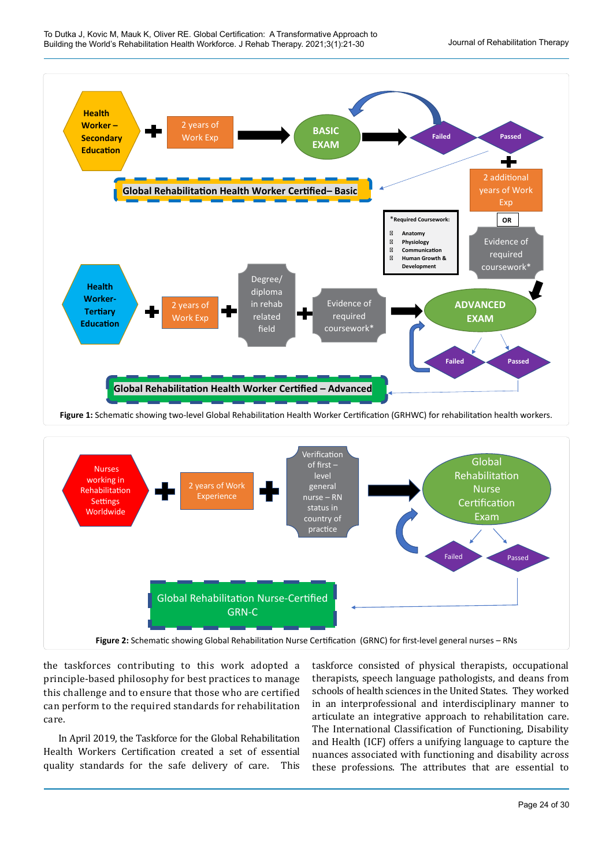



the taskforces contributing to this work adopted a principle-based philosophy for best practices to manage this challenge and to ensure that those who are certified can perform to the required standards for rehabilitation care.

In April 2019, the Taskforce for the Global Rehabilitation Health Workers Certification created a set of essential quality standards for the safe delivery of care. This taskforce consisted of physical therapists, occupational therapists, speech language pathologists, and deans from schools of health sciences in the United States. They worked in an interprofessional and interdisciplinary manner to articulate an integrative approach to rehabilitation care. The International Classification of Functioning, Disability and Health (ICF) offers a unifying language to capture the nuances associated with functioning and disability across these professions. The attributes that are essential to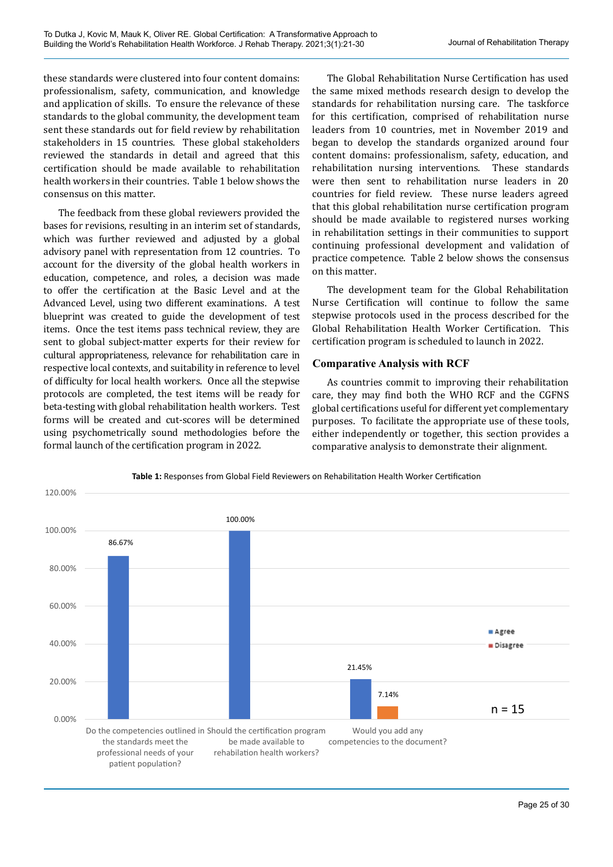these standards were clustered into four content domains: professionalism, safety, communication, and knowledge and application of skills. To ensure the relevance of these standards to the global community, the development team sent these standards out for field review by rehabilitation stakeholders in 15 countries. These global stakeholders reviewed the standards in detail and agreed that this certification should be made available to rehabilitation health workers in their countries. Table 1 below shows the consensus on this matter.

The feedback from these global reviewers provided the bases for revisions, resulting in an interim set of standards, which was further reviewed and adjusted by a global advisory panel with representation from 12 countries. To account for the diversity of the global health workers in education, competence, and roles, a decision was made to offer the certification at the Basic Level and at the Advanced Level, using two different examinations. A test blueprint was created to guide the development of test items. Once the test items pass technical review, they are sent to global subject-matter experts for their review for cultural appropriateness, relevance for rehabilitation care in respective local contexts, and suitability in reference to level of difficulty for local health workers. Once all the stepwise protocols are completed, the test items will be ready for beta-testing with global rehabilitation health workers. Test forms will be created and cut-scores will be determined using psychometrically sound methodologies before the formal launch of the certification program in 2022.

The Global Rehabilitation Nurse Certification has used the same mixed methods research design to develop the standards for rehabilitation nursing care. The taskforce for this certification, comprised of rehabilitation nurse leaders from 10 countries, met in November 2019 and began to develop the standards organized around four content domains: professionalism, safety, education, and rehabilitation nursing interventions. These standards were then sent to rehabilitation nurse leaders in 20 countries for field review. These nurse leaders agreed that this global rehabilitation nurse certification program should be made available to registered nurses working in rehabilitation settings in their communities to support continuing professional development and validation of practice competence. Table 2 below shows the consensus on this matter.

The development team for the Global Rehabilitation Nurse Certification will continue to follow the same stepwise protocols used in the process described for the Global Rehabilitation Health Worker Certification. This certification program is scheduled to launch in 2022.

#### **Comparative Analysis with RCF**

As countries commit to improving their rehabilitation care, they may find both the WHO RCF and the CGFNS global certifications useful for different yet complementary purposes. To facilitate the appropriate use of these tools, either independently or together, this section provides a comparative analysis to demonstrate their alignment.



**Table 1:** Responses from Global Field Reviewers on Rehabilitation Health Worker Certification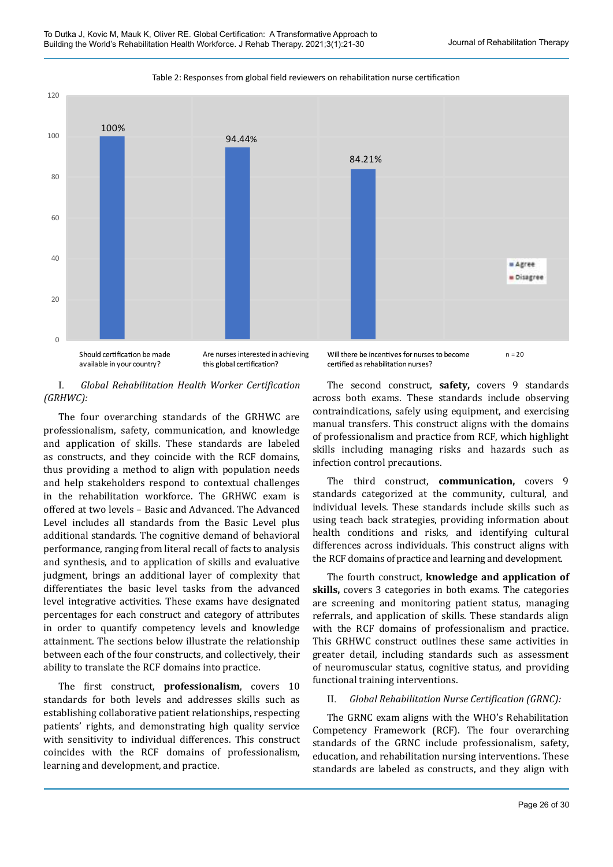

Table 2: Responses from global field reviewers on rehabilitation nurse certification

Should certification be made available in your country?

Are nurses interested in achieving this global certification?

Will there be incentives for nurses to become  $n = 20$ certified as rehabilitation nurses?

#### I. *Global Rehabilitation Health Worker Certification (GRHWC):*

The four overarching standards of the GRHWC are professionalism, safety, communication, and knowledge and application of skills. These standards are labeled as constructs, and they coincide with the RCF domains, thus providing a method to align with population needs and help stakeholders respond to contextual challenges in the rehabilitation workforce. The GRHWC exam is offered at two levels – Basic and Advanced. The Advanced Level includes all standards from the Basic Level plus additional standards. The cognitive demand of behavioral performance, ranging from literal recall of facts to analysis and synthesis, and to application of skills and evaluative judgment, brings an additional layer of complexity that differentiates the basic level tasks from the advanced level integrative activities. These exams have designated percentages for each construct and category of attributes in order to quantify competency levels and knowledge attainment. The sections below illustrate the relationship between each of the four constructs, and collectively, their ability to translate the RCF domains into practice.

The first construct, **professionalism**, covers 10 standards for both levels and addresses skills such as establishing collaborative patient relationships, respecting patients' rights, and demonstrating high quality service with sensitivity to individual differences. This construct coincides with the RCF domains of professionalism, learning and development, and practice.

The second construct, **safety,** covers 9 standards across both exams. These standards include observing contraindications, safely using equipment, and exercising manual transfers. This construct aligns with the domains of professionalism and practice from RCF, which highlight skills including managing risks and hazards such as infection control precautions.

The third construct, **communication,** covers 9 standards categorized at the community, cultural, and individual levels. These standards include skills such as using teach back strategies, providing information about health conditions and risks, and identifying cultural differences across individuals. This construct aligns with the RCF domains of practice and learning and development.

The fourth construct, **knowledge and application of skills,** covers 3 categories in both exams. The categories are screening and monitoring patient status, managing referrals, and application of skills. These standards align with the RCF domains of professionalism and practice. This GRHWC construct outlines these same activities in greater detail, including standards such as assessment of neuromuscular status, cognitive status, and providing functional training interventions.

# II. *Global Rehabilitation Nurse Certification (GRNC):*

The GRNC exam aligns with the WHO's Rehabilitation Competency Framework (RCF). The four overarching standards of the GRNC include professionalism, safety, education, and rehabilitation nursing interventions. These standards are labeled as constructs, and they align with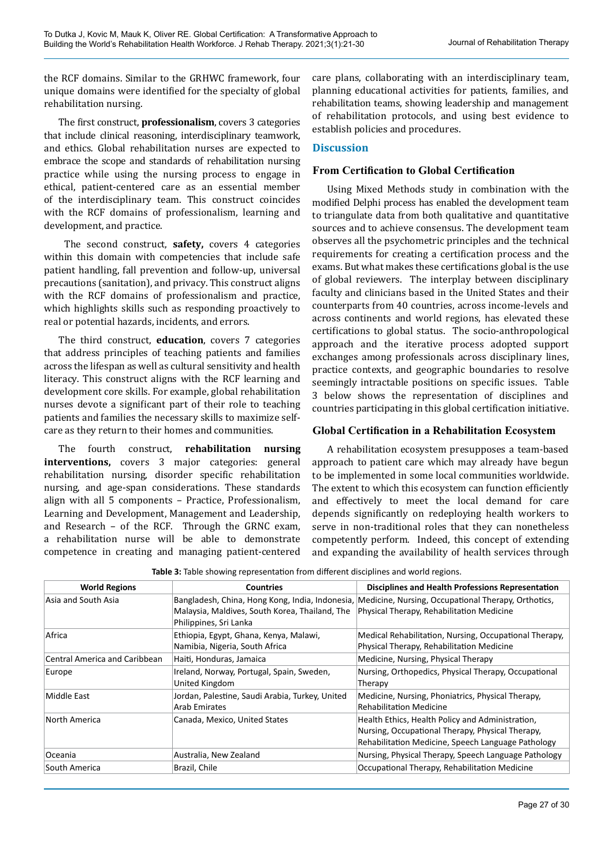the RCF domains. Similar to the GRHWC framework, four unique domains were identified for the specialty of global rehabilitation nursing.

The first construct, **professionalism**, covers 3 categories that include clinical reasoning, interdisciplinary teamwork, and ethics. Global rehabilitation nurses are expected to embrace the scope and standards of rehabilitation nursing practice while using the nursing process to engage in ethical, patient-centered care as an essential member of the interdisciplinary team. This construct coincides with the RCF domains of professionalism, learning and development, and practice.

 The second construct, **safety,** covers 4 categories within this domain with competencies that include safe patient handling, fall prevention and follow-up, universal precautions (sanitation), and privacy. This construct aligns with the RCF domains of professionalism and practice, which highlights skills such as responding proactively to real or potential hazards, incidents, and errors.

The third construct, **education**, covers 7 categories that address principles of teaching patients and families across the lifespan as well as cultural sensitivity and health literacy. This construct aligns with the RCF learning and development core skills. For example, global rehabilitation nurses devote a significant part of their role to teaching patients and families the necessary skills to maximize selfcare as they return to their homes and communities.

The fourth construct, **rehabilitation nursing interventions,** covers 3 major categories: general rehabilitation nursing, disorder specific rehabilitation nursing, and age-span considerations. These standards align with all 5 components – Practice, Professionalism, Learning and Development, Management and Leadership, and Research – of the RCF. Through the GRNC exam, a rehabilitation nurse will be able to demonstrate competence in creating and managing patient-centered

care plans, collaborating with an interdisciplinary team, planning educational activities for patients, families, and rehabilitation teams, showing leadership and management of rehabilitation protocols, and using best evidence to establish policies and procedures.

# **Discussion**

# **From Certification to Global Certification**

Using Mixed Methods study in combination with the modified Delphi process has enabled the development team to triangulate data from both qualitative and quantitative sources and to achieve consensus. The development team observes all the psychometric principles and the technical requirements for creating a certification process and the exams. But what makes these certifications global is the use of global reviewers. The interplay between disciplinary faculty and clinicians based in the United States and their counterparts from 40 countries, across income-levels and across continents and world regions, has elevated these certifications to global status. The socio-anthropological approach and the iterative process adopted support exchanges among professionals across disciplinary lines, practice contexts, and geographic boundaries to resolve seemingly intractable positions on specific issues. Table 3 below shows the representation of disciplines and countries participating in this global certification initiative.

# **Global Certification in a Rehabilitation Ecosystem**

A rehabilitation ecosystem presupposes a team-based approach to patient care which may already have begun to be implemented in some local communities worldwide. The extent to which this ecosystem can function efficiently and effectively to meet the local demand for care depends significantly on redeploying health workers to serve in non-traditional roles that they can nonetheless competently perform. Indeed, this concept of extending and expanding the availability of health services through

**Table 3:** Table showing representation from different disciplines and world regions.

| <b>Countries</b>                                                         | <b>Disciplines and Health Professions Representation</b>                                                                                                   |
|--------------------------------------------------------------------------|------------------------------------------------------------------------------------------------------------------------------------------------------------|
| Malaysia, Maldives, South Korea, Thailand, The<br>Philippines, Sri Lanka | Bangladesh, China, Hong Kong, India, Indonesia, Medicine, Nursing, Occupational Therapy, Orthotics,<br>Physical Therapy, Rehabilitation Medicine           |
| Ethiopia, Egypt, Ghana, Kenya, Malawi,<br>Namibia, Nigeria, South Africa | Medical Rehabilitation, Nursing, Occupational Therapy,<br>Physical Therapy, Rehabilitation Medicine                                                        |
| Haiti, Honduras, Jamaica                                                 | Medicine, Nursing, Physical Therapy                                                                                                                        |
| Ireland, Norway, Portugal, Spain, Sweden,<br>United Kingdom              | Nursing, Orthopedics, Physical Therapy, Occupational<br>Therapy                                                                                            |
| Jordan, Palestine, Saudi Arabia, Turkey, United<br>Arab Emirates         | Medicine, Nursing, Phoniatrics, Physical Therapy,<br><b>Rehabilitation Medicine</b>                                                                        |
| Canada, Mexico, United States                                            | Health Ethics, Health Policy and Administration,<br>Nursing, Occupational Therapy, Physical Therapy,<br>Rehabilitation Medicine, Speech Language Pathology |
| Australia, New Zealand                                                   | Nursing, Physical Therapy, Speech Language Pathology                                                                                                       |
| Brazil, Chile                                                            | Occupational Therapy, Rehabilitation Medicine                                                                                                              |
|                                                                          |                                                                                                                                                            |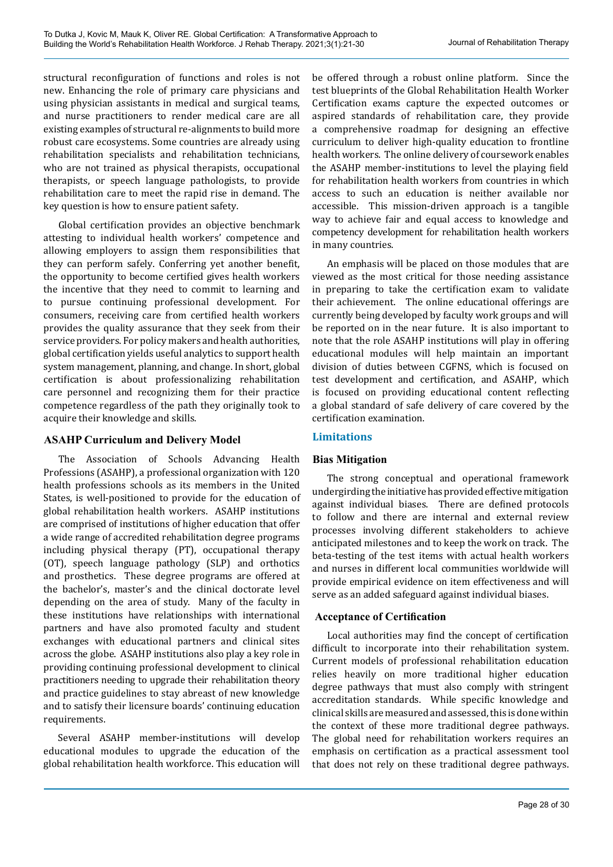structural reconfiguration of functions and roles is not new. Enhancing the role of primary care physicians and using physician assistants in medical and surgical teams, and nurse practitioners to render medical care are all existing examples of structural re-alignments to build more robust care ecosystems. Some countries are already using rehabilitation specialists and rehabilitation technicians, who are not trained as physical therapists, occupational therapists, or speech language pathologists, to provide rehabilitation care to meet the rapid rise in demand. The key question is how to ensure patient safety.

Global certification provides an objective benchmark attesting to individual health workers' competence and allowing employers to assign them responsibilities that they can perform safely. Conferring yet another benefit, the opportunity to become certified gives health workers the incentive that they need to commit to learning and to pursue continuing professional development. For consumers, receiving care from certified health workers provides the quality assurance that they seek from their service providers. For policy makers and health authorities, global certification yields useful analytics to support health system management, planning, and change. In short, global certification is about professionalizing rehabilitation care personnel and recognizing them for their practice competence regardless of the path they originally took to acquire their knowledge and skills.

# **ASAHP Curriculum and Delivery Model**

The Association of Schools Advancing Health Professions (ASAHP), a professional organization with 120 health professions schools as its members in the United States, is well-positioned to provide for the education of global rehabilitation health workers. ASAHP institutions are comprised of institutions of higher education that offer a wide range of accredited rehabilitation degree programs including physical therapy (PT), occupational therapy (OT), speech language pathology (SLP) and orthotics and prosthetics. These degree programs are offered at the bachelor's, master's and the clinical doctorate level depending on the area of study. Many of the faculty in these institutions have relationships with international partners and have also promoted faculty and student exchanges with educational partners and clinical sites across the globe. ASAHP institutions also play a key role in providing continuing professional development to clinical practitioners needing to upgrade their rehabilitation theory and practice guidelines to stay abreast of new knowledge and to satisfy their licensure boards' continuing education requirements.

Several ASAHP member-institutions will develop educational modules to upgrade the education of the global rehabilitation health workforce. This education will

be offered through a robust online platform. Since the test blueprints of the Global Rehabilitation Health Worker Certification exams capture the expected outcomes or aspired standards of rehabilitation care, they provide a comprehensive roadmap for designing an effective curriculum to deliver high-quality education to frontline health workers. The online delivery of coursework enables the ASAHP member-institutions to level the playing field for rehabilitation health workers from countries in which access to such an education is neither available nor accessible. This mission-driven approach is a tangible way to achieve fair and equal access to knowledge and competency development for rehabilitation health workers in many countries.

An emphasis will be placed on those modules that are viewed as the most critical for those needing assistance in preparing to take the certification exam to validate their achievement. The online educational offerings are currently being developed by faculty work groups and will be reported on in the near future. It is also important to note that the role ASAHP institutions will play in offering educational modules will help maintain an important division of duties between CGFNS, which is focused on test development and certification, and ASAHP, which is focused on providing educational content reflecting a global standard of safe delivery of care covered by the certification examination.

# **Limitations**

# **Bias Mitigation**

The strong conceptual and operational framework undergirding the initiative has provided effective mitigation against individual biases. There are defined protocols to follow and there are internal and external review processes involving different stakeholders to achieve anticipated milestones and to keep the work on track. The beta-testing of the test items with actual health workers and nurses in different local communities worldwide will provide empirical evidence on item effectiveness and will serve as an added safeguard against individual biases.

# **Acceptance of Certification**

Local authorities may find the concept of certification difficult to incorporate into their rehabilitation system. Current models of professional rehabilitation education relies heavily on more traditional higher education degree pathways that must also comply with stringent accreditation standards. While specific knowledge and clinical skills are measured and assessed, this is done within the context of these more traditional degree pathways. The global need for rehabilitation workers requires an emphasis on certification as a practical assessment tool that does not rely on these traditional degree pathways.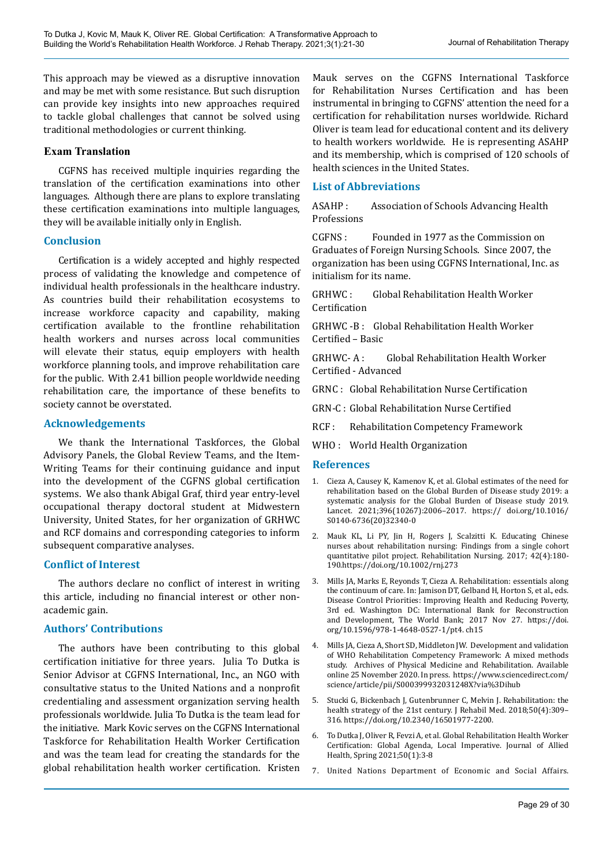This approach may be viewed as a disruptive innovation and may be met with some resistance. But such disruption can provide key insights into new approaches required to tackle global challenges that cannot be solved using traditional methodologies or current thinking.

### **Exam Translation**

CGFNS has received multiple inquiries regarding the translation of the certification examinations into other languages. Although there are plans to explore translating these certification examinations into multiple languages, they will be available initially only in English.

#### **Conclusion**

Certification is a widely accepted and highly respected process of validating the knowledge and competence of individual health professionals in the healthcare industry. As countries build their rehabilitation ecosystems to increase workforce capacity and capability, making certification available to the frontline rehabilitation health workers and nurses across local communities will elevate their status, equip employers with health workforce planning tools, and improve rehabilitation care for the public. With 2.41 billion people worldwide needing rehabilitation care, the importance of these benefits to society cannot be overstated.

#### **Acknowledgements**

We thank the International Taskforces, the Global Advisory Panels, the Global Review Teams, and the Item-Writing Teams for their continuing guidance and input into the development of the CGFNS global certification systems. We also thank Abigal Graf, third year entry-level occupational therapy doctoral student at Midwestern University, United States, for her organization of GRHWC and RCF domains and corresponding categories to inform subsequent comparative analyses.

#### **Conflict of Interest**

The authors declare no conflict of interest in writing this article, including no financial interest or other nonacademic gain.

# **Authors' Contributions**

The authors have been contributing to this global certification initiative for three years. Julia To Dutka is Senior Advisor at CGFNS International, Inc., an NGO with consultative status to the United Nations and a nonprofit credentialing and assessment organization serving health professionals worldwide. Julia To Dutka is the team lead for the initiative. Mark Kovic serves on the CGFNS International Taskforce for Rehabilitation Health Worker Certification and was the team lead for creating the standards for the global rehabilitation health worker certification. Kristen

Mauk serves on the CGFNS International Taskforce for Rehabilitation Nurses Certification and has been instrumental in bringing to CGFNS' attention the need for a certification for rehabilitation nurses worldwide. Richard Oliver is team lead for educational content and its delivery to health workers worldwide. He is representing ASAHP and its membership, which is comprised of 120 schools of health sciences in the United States.

### **List of Abbreviations**

ASAHP : Association of Schools Advancing Health Professions

CGFNS : Founded in 1977 as the Commission on Graduates of Foreign Nursing Schools. Since 2007, the organization has been using CGFNS International, Inc. as initialism for its name.

GRHWC : Global Rehabilitation Health Worker Certification

GRHWC -B : Global Rehabilitation Health Worker Certified – Basic

GRHWC- A : Global Rehabilitation Health Worker Certified - Advanced

GRNC : Global Rehabilitation Nurse Certification

GRN-C : Global Rehabilitation Nurse Certified

RCF : Rehabilitation Competency Framework

WHO : World Health Organization

#### **References**

- 1. Cieza A, Causey K, Kamenov K, et al. Global estimates of the need for rehabilitation based on the Global Burden of Disease study 2019: a systematic analysis for the Global Burden of Disease study 2019. Lancet. 2021;396(10267):2006–2017. https:// doi.org/10.1016/ S0140-6736(20)32340-0
- 2. Mauk KL, Li PY, Jin H, Rogers J, Scalzitti K. Educating Chinese nurses about rehabilitation nursing: Findings from a single cohort quantitative pilot project. Rehabilitation Nursing. 2017; 42(4):180- 190.[https://doi.org/10.1002/rnj.273](https://linkprotect.cudasvc.com/url?a=https%3a%2f%2fdoi.org%2f10.1002%2frnj.273&c=E,1,6EwyVTM3U_71qf1VByiW0VOVOC8Twlu7HkGlVOZLOGJKzeiSMtsM30sZS4CVpEFq7TXRb0I3MGtl-uUTysZPZTrGBgltwWFqY1E2XH2solQu8hAU&typo=1)
- 3. Mills JA, Marks E, Reyonds T, Cieza A. Rehabilitation: essentials along the continuum of care. In: Jamison DT, Gelband H, Horton S, et al., eds. Disease Control Priorities: Improving Health and Reducing Poverty, 3rd ed. Washington DC: International Bank for Reconstruction and Development, The World Bank; 2017 Nov 27. https://doi. org/10.1596/978-1-4648-0527-1/pt4. ch15
- 4. Mills JA, Cieza A, Short SD, Middleton JW. Development and validation of WHO Rehabilitation Competency Framework: A mixed methods study. Archives of Physical Medicine and Rehabilitation. Available online 25 November 2020. In press. [https://www.sciencedirect.com/](https://www.sciencedirect.com/science/article/pii/S000399932031248X?via%3Dihub) [science/article/pii/S000399932031248X?via%3Dihub](https://www.sciencedirect.com/science/article/pii/S000399932031248X?via%3Dihub)
- 5. Stucki G, Bickenbach J, Gutenbrunner C, Melvin J. Rehabilitation: the health strategy of the 21st century. J Rehabil Med. 2018;50(4):309-316. <https://doi.org/10.2340/16501977-2200>.
- 6. To Dutka J, Oliver R, Fevzi A, et al. Global Rehabilitation Health Worker Certification: Global Agenda, Local Imperative. Journal of Allied Health, Spring 2021;50(1):3-8
- 7. United Nations Department of Economic and Social Affairs.